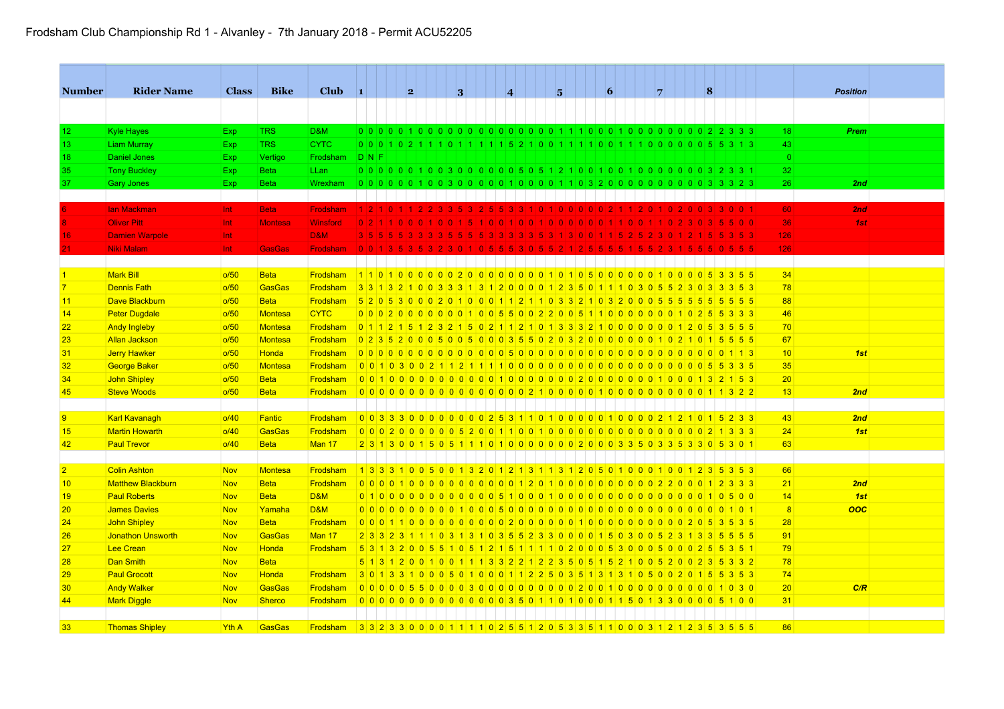| <b>Number</b>  | <b>Rider Name</b>        | <b>Class</b> | <b>Bike</b>    | Club                                                     | $\blacksquare$ | 2 |  | 3 | $\overline{\mathbf{4}}$ |                                                                                   | 5 | $\vert 6 \vert$ |     | 7 |                         | 8 |  |                    | <b>Position</b> |  |
|----------------|--------------------------|--------------|----------------|----------------------------------------------------------|----------------|---|--|---|-------------------------|-----------------------------------------------------------------------------------|---|-----------------|-----|---|-------------------------|---|--|--------------------|-----------------|--|
|                |                          |              |                |                                                          |                |   |  |   |                         |                                                                                   |   |                 |     |   |                         |   |  |                    |                 |  |
| 12             | <b>Kyle Hayes</b>        | <b>Exp</b>   | <b>TRS</b>     | D&M                                                      |                |   |  |   |                         |                                                                                   |   |                 |     |   |                         |   |  | 18                 | Prem            |  |
| 13             |                          |              | <b>TRS</b>     | <b>CYTC</b>                                              |                |   |  |   |                         |                                                                                   |   |                 |     |   |                         |   |  | 43                 |                 |  |
|                | <b>Liam Murray</b>       | <b>Exp</b>   |                |                                                          |                |   |  |   |                         |                                                                                   |   |                 |     |   |                         |   |  |                    |                 |  |
| 18             | <b>Daniel Jones</b>      | <b>Exp</b>   | Vertigo        | Frodsham                                                 | <b>DNF</b>     |   |  |   |                         |                                                                                   |   |                 |     |   |                         |   |  | $\mathbf{0}$<br>32 |                 |  |
| 35             | <b>Tony Buckley</b>      | <b>Exp</b>   | <b>Beta</b>    | LLan                                                     |                |   |  |   |                         | 0000001003000000005051210010010000000032331                                       |   |                 |     |   |                         |   |  | 26                 |                 |  |
| 37             | Gary Jones               | Exp.         | <b>Beta</b>    | Wrexham                                                  |                |   |  |   |                         |                                                                                   |   |                 |     |   |                         |   |  |                    | 2nd             |  |
|                | lan Mackman              | Int          | <b>Beta</b>    | <b>Frodsham</b>                                          |                |   |  |   |                         | 1210122335325533101000002112010200033001                                          |   |                 |     |   |                         |   |  | 60                 | 2nd             |  |
|                | <b>Oliver Pitt</b>       | Int          | <b>Montesa</b> | <b>Winsford</b>                                          |                |   |  |   |                         |                                                                                   |   |                 |     |   |                         |   |  | 36                 | 1st             |  |
| 16             | <b>Damien Warpole</b>    |              |                | <b>D&amp;M</b>                                           |                |   |  |   |                         |                                                                                   |   |                 |     |   |                         |   |  | 126                |                 |  |
|                | Niki Malam               | Int<br>Int   | <b>GasGas</b>  | <b>Frodsham</b>                                          |                |   |  |   |                         | 0 0 1 3 5 3 5 3 2 3 0 1 0 5 5 5 3 0 5 5 2 1 2 5 5 5                               |   |                 | -51 |   | 5 5 2 3 1 5 5 5 0 5 5 5 |   |  | 126                |                 |  |
|                |                          |              |                |                                                          |                |   |  |   |                         |                                                                                   |   |                 |     |   |                         |   |  |                    |                 |  |
| $\vert$ 1      | <b>Mark Bill</b>         | o/50         | <b>Beta</b>    | <u>Frodsham 1101000000000000000101050000000000053355</u> |                |   |  |   |                         |                                                                                   |   |                 |     |   |                         |   |  | 34                 |                 |  |
| $\overline{7}$ | <b>Dennis Fath</b>       | o/50         | <b>GasGas</b>  | Frodsham                                                 |                |   |  |   |                         | 331321003331312000012350111030552303353                                           |   |                 |     |   |                         |   |  | 78                 |                 |  |
|                | Dave Blackburn           | o/50         | <b>Beta</b>    | <b>Frodsham</b>                                          |                |   |  |   |                         | 520530002010001121103321032000555555555                                           |   |                 |     |   |                         |   |  | 88                 |                 |  |
| 11             |                          |              |                | <b>CYTC</b>                                              |                |   |  |   |                         | 0 0 0 2 0 0 0 0 0 0 0 0 1 0 0 5 5 0 0 2 2 0 0 5 1 1 0 0 0 0 0 0 0 1 0 2 5 5 3 3 3 |   |                 |     |   |                         |   |  | 46                 |                 |  |
| 14             | <b>Peter Dugdale</b>     | o/50         | <b>Montesa</b> |                                                          |                |   |  |   |                         | 0 1 1 2 1 5 1 2 3 2 1 5 0 2 1 1 2 1 0 1 3 3 3 2 1 0 0 0 0 0 0 0 1 2 0 5 3 5 5 5   |   |                 |     |   |                         |   |  | 70                 |                 |  |
| 22             | <b>Andy Ingleby</b>      | o/50         | <b>Montesa</b> | <b>Frodsham</b>                                          |                |   |  |   |                         |                                                                                   |   |                 |     |   |                         |   |  |                    |                 |  |
| 23             | <b>Allan Jackson</b>     | o/50         | <b>Montesa</b> | Frodsham                                                 |                |   |  |   |                         | 0 2 3 5 2 0 0 0 5 0 0 5 0 0 0 3 5 5 0 2 0 3 2 0 0 0 0 0 0 0 1 0 2 1 0 1 5 5 5 5   |   |                 |     |   |                         |   |  | 67                 |                 |  |
| 31             | <b>Jerry Hawker</b>      | o/50         | <b>Honda</b>   | <b>Frodsham</b>                                          |                |   |  |   |                         |                                                                                   |   |                 |     |   |                         |   |  | 10                 | 1st             |  |
| 32             | <b>George Baker</b>      | o/50         | <b>Montesa</b> | Frodsham                                                 |                |   |  |   |                         |                                                                                   |   |                 |     |   |                         |   |  | 35                 |                 |  |
| 34             | <b>John Shipley</b>      | o/50         | <b>Beta</b>    | Frodsham                                                 |                |   |  |   |                         |                                                                                   |   |                 |     |   |                         |   |  | 20                 |                 |  |
| 45             | <b>Steve Woods</b>       | o/50         | <b>Beta</b>    | Frodsham                                                 |                |   |  |   |                         |                                                                                   |   |                 |     |   |                         |   |  | 13                 | 2nd             |  |
|                |                          |              |                |                                                          |                |   |  |   |                         |                                                                                   |   |                 |     |   |                         |   |  |                    |                 |  |
| 9              | <b>Karl Kavanagh</b>     | o/40         | <b>Fantic</b>  | Frodsham                                                 |                |   |  |   |                         | 0 0 3 3 3 0 0 0 0 0 0 0 0 0 2 5 3 1 1 0 1 0 0 0 0 0 1 0 0 0 0 2 1 2 1 0 1 5 2 3 3 |   |                 |     |   |                         |   |  | 43                 | 2nd             |  |
| 15             | <b>Martin Howarth</b>    | o/40         | <b>GasGas</b>  | Frodsham                                                 |                |   |  |   |                         | 0002000005200110010000000000000000000                                             |   |                 |     |   |                         |   |  | 24                 | 1st             |  |
| 42             | <b>Paul Trevor</b>       | 0/40         | <b>Beta</b>    | Man 17                                                   |                |   |  |   |                         | 2 3 1 3 0 0 1 5 0 5 1 1 1 0 1 0 0 0 0 0 0 0 0 2 0 0 0 3 3 5 0 3 3 5 3 3 0 5 3 0 1 |   |                 |     |   |                         |   |  | 63                 |                 |  |
|                |                          |              |                |                                                          |                |   |  |   |                         |                                                                                   |   |                 |     |   |                         |   |  |                    |                 |  |
| $\overline{2}$ | <b>Colin Ashton</b>      | <b>Nov</b>   | <b>Montesa</b> | Frodsham                                                 |                |   |  |   |                         | 1 3 3 3 1 0 0 5 0 0 1 3 2 0 1 2 1 3 1 1 3 1 2 0 5 0 1 0 0 0 1 0 0 1 2 3 5 3 5 3   |   |                 |     |   |                         |   |  | 66                 |                 |  |
| 10             | <b>Matthew Blackburn</b> | <b>Nov</b>   | <b>Beta</b>    | <b>Frodsham</b>                                          |                |   |  |   |                         | 00001000000000000001201000000000002200012333                                      |   |                 |     |   |                         |   |  | 21                 | 2nd             |  |
| 19             | <b>Paul Roberts</b>      | <b>Nov</b>   | <b>Beta</b>    | <b>D&amp;M</b>                                           |                |   |  |   |                         |                                                                                   |   |                 |     |   |                         |   |  | 14                 | 1st             |  |
| 20             | <b>James Davies</b>      | Nov          | Yamaha         | <b>D&amp;M</b>                                           |                |   |  |   |                         |                                                                                   |   |                 |     |   |                         |   |  | 8                  | 00C             |  |
| 24             | <b>John Shipley</b>      | <b>Nov</b>   | <b>Beta</b>    | Frodsham                                                 |                |   |  |   |                         |                                                                                   |   |                 |     |   |                         |   |  | 28                 |                 |  |
| 26             | <b>Jonathon Unsworth</b> | <b>Nov</b>   | <b>GasGas</b>  | Man 17                                                   |                |   |  |   |                         | 2 3 3 2 3 1 1 1 0 3 1 3 1 0 3 5 5 2 3 3 0 0 0 0 1 5 0 3 0 0 5 2 3 1 3 3 5 5 5 5   |   |                 |     |   |                         |   |  | 91                 |                 |  |
| 27             | <b>Lee Crean</b>         | <b>Nov</b>   | <b>Honda</b>   | Frodsham                                                 |                |   |  |   |                         | 5313200551051215111102000530005000255351                                          |   |                 |     |   |                         |   |  | 79                 |                 |  |
| 28             | <b>Dan Smith</b>         | <b>Nov</b>   | <b>Beta</b>    |                                                          |                |   |  |   |                         | 5 1 3 1 2 0 0 1 0 0 1 1 1 3 3 2 2 1 2 2 3 5 0 5 1 5 2 1 0 0 5 2 0 0 2 3 5 3 3 2   |   |                 |     |   |                         |   |  | 78                 |                 |  |
| 29             | <b>Paul Grocott</b>      | Nov          | <b>Honda</b>   | Frodsham                                                 |                |   |  |   |                         | 3013310005010001122503513131050020155353                                          |   |                 |     |   |                         |   |  | 74                 |                 |  |
| 30             | <b>Andy Walker</b>       | <b>Nov</b>   | <b>GasGas</b>  | Frodsham                                                 |                |   |  |   |                         |                                                                                   |   |                 |     |   |                         |   |  | 20                 | C/R             |  |
| 44             | <b>Mark Diggle</b>       | <b>Nov</b>   | <b>Sherco</b>  | <b>Frodsham</b>                                          |                |   |  |   |                         | 00000000000000000035011010000115013300005100                                      |   |                 |     |   |                         |   |  | 31                 |                 |  |
|                |                          |              |                |                                                          |                |   |  |   |                         |                                                                                   |   |                 |     |   |                         |   |  |                    |                 |  |
| 33             | <b>Thomas Shipley</b>    | Yth A        | <b>GasGas</b>  | Frodsham 3323300001111025512053351100031212353555        |                |   |  |   |                         |                                                                                   |   |                 |     |   |                         |   |  | 86                 |                 |  |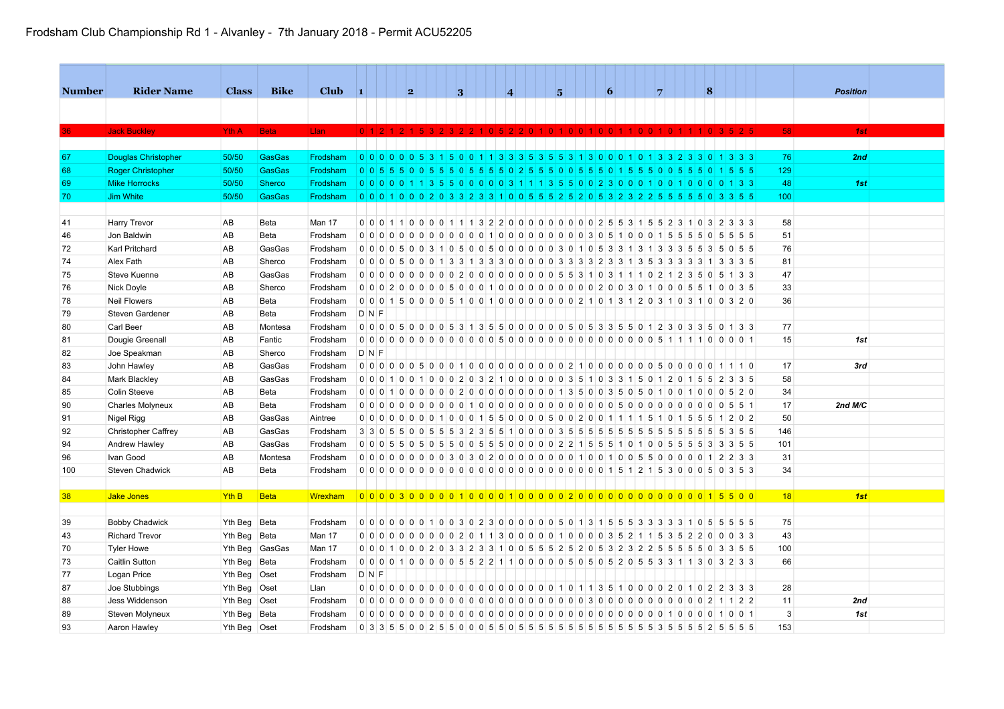| <b>Number</b> | <b>Rider Name</b>          | <b>Class</b>     | <b>Bike</b>   | <b>Club</b> | $\blacksquare$ |                                                                                   |          | 2                          |                                           |          | 3                    |      | $\overline{\mathbf{4}}$ |                     | 5       |  | $\vert 6 \vert$ |                |          | 7              |          |           |      | 8              |                 |                   |     |    |  | <b>Position</b> |     |  |  |  |
|---------------|----------------------------|------------------|---------------|-------------|----------------|-----------------------------------------------------------------------------------|----------|----------------------------|-------------------------------------------|----------|----------------------|------|-------------------------|---------------------|---------|--|-----------------|----------------|----------|----------------|----------|-----------|------|----------------|-----------------|-------------------|-----|----|--|-----------------|-----|--|--|--|
|               |                            |                  |               |             |                |                                                                                   |          |                            |                                           |          |                      |      |                         |                     |         |  |                 |                |          |                |          |           |      |                |                 |                   |     |    |  |                 |     |  |  |  |
|               |                            |                  |               |             |                |                                                                                   |          |                            |                                           |          |                      |      |                         |                     |         |  |                 |                |          |                |          |           |      |                |                 |                   |     |    |  |                 |     |  |  |  |
|               | <b>Jack Buckley</b>        | Yth A            | <b>Beta</b>   | Llan        |                | 0 1 2 1 2 1 5 3 2 3 2 2 1 0 5 2 2 0 1 0 1 0 0 1 0 0 1 1 0 0 1 0 1 1 1 0 3 5 2 5   |          |                            |                                           |          |                      |      |                         |                     |         |  |                 |                |          |                |          |           |      |                |                 |                   | 58  |    |  |                 | 1st |  |  |  |
|               |                            |                  |               |             |                |                                                                                   |          |                            |                                           |          |                      |      |                         |                     |         |  |                 |                |          |                |          |           |      |                |                 |                   |     |    |  |                 |     |  |  |  |
| 67            | <b>Douglas Christopher</b> | 50/50            | <b>GasGas</b> | Frodsham    | 0 <sub>0</sub> |                                                                                   | $\Omega$ | $\Omega$<br>5 <sup>1</sup> | 3.                                        | <b>5</b> | $\Omega$<br>$\Omega$ | 1113 |                         | $3$ 3 5 3 5 5 3 1 3 |         |  | ിറി<br>$\cap$   | $\Omega$       | $\Omega$ | 1 3            | <b>3</b> | 2.3       | 3    | $\Omega$       |                 | $1 \ 3 \ 3 \ 3$   |     | 76 |  |                 | 2nd |  |  |  |
| 68            | <b>Roger Christopher</b>   | 50/50            | <b>GasGas</b> | Frodsham    | 0 <sub>0</sub> |                                                                                   |          |                            |                                           |          |                      |      |                         | -5                  |         |  | -5              |                |          |                |          |           |      |                |                 |                   | 129 |    |  |                 |     |  |  |  |
| 69            | <b>Mike Horrocks</b>       | 50/50            | Sherco        | Frodsham    | 0 0 0          |                                                                                   |          |                            |                                           |          | $\Omega$             |      | 0 <sup>3</sup>          |                     | 1 3 5 5 |  | 0.23            |                |          |                |          |           |      |                |                 | $1 \mid 3 \mid 3$ | 48  |    |  |                 | 1st |  |  |  |
| 70            | <b>Jim White</b>           | 50/50            | <b>GasGas</b> | Frodsham    |                | 0 0 0 1 0 0 0 2 0 3 3 2 3 3 1 0 0 5 5 5 2 5 2 0 5 3 2 3 2 3 5 5 5 6 7 8 9         |          |                            |                                           |          |                      |      |                         |                     |         |  |                 |                |          |                |          |           |      |                |                 |                   | 100 |    |  |                 |     |  |  |  |
|               |                            |                  |               |             |                |                                                                                   |          |                            |                                           |          |                      |      |                         |                     |         |  |                 |                |          |                |          |           |      |                |                 |                   |     |    |  |                 |     |  |  |  |
| 41            | Harry Trevor               | AB               | Beta          | Man 17      |                | 0 0 0 1 1 0 0 0 0 1 1 1 3 2 2 0 0 0 0 0 0 0 0 0 0 2 5 5 3 1 5 5 2 3 1 0           |          |                            |                                           |          |                      |      |                         |                     |         |  |                 |                |          |                |          |           |      | 3              | $2 \ 3 \ 3 \ 3$ |                   | 58  |    |  |                 |     |  |  |  |
| 46            | Jon Baldwin                | AB               | Beta          | Frodsham    |                | 0000000000000010000000000305100015555                                             |          |                            |                                           |          |                      |      |                         |                     |         |  |                 |                |          |                |          |           |      | $\overline{0}$ | 5 5 5 5         |                   | 51  |    |  |                 |     |  |  |  |
| 72            | Karl Pritchard             | AB               | GasGas        | Frodsham    |                | 0 0 0 0 5 0 0 3 1 0 5 0 0 5 0 0 0 0 0 0 3 0 1 0 5 3 3 1 3                         |          |                            |                                           |          |                      |      |                         |                     |         |  |                 |                |          |                |          | 1 3 3 3 5 |      |                |                 | 055               | 76  |    |  |                 |     |  |  |  |
| 74            | Alex Fath                  | AB               | Sherco        | Frodsham    |                | 0 0 0 0 5 0                                                                       |          |                            | $0$ 0 1 3 3 1 3 3 3 0 0 0 0 0 3 3 3 3 2 3 |          |                      |      |                         |                     |         |  |                 | 31             | 3        | 53             | 3        | 33        |      |                |                 | $3 \mid 3 \mid 5$ | 81  |    |  |                 |     |  |  |  |
| 75            | Steve Kuenne               | AB               | GasGas        | Frodsham    |                |                                                                                   |          |                            |                                           |          |                      |      |                         |                     |         |  |                 |                |          |                |          |           |      |                |                 |                   | 47  |    |  |                 |     |  |  |  |
| 76            | Nick Doyle                 | AB               | Sherco        | Frodsham    |                |                                                                                   |          |                            |                                           |          |                      |      |                         |                     |         |  |                 |                |          |                |          |           |      |                |                 |                   | 33  |    |  |                 |     |  |  |  |
| 78            | <b>Neil Flowers</b>        | AB               | Beta          | Frodsham    |                |                                                                                   |          |                            |                                           |          |                      |      |                         |                     |         |  |                 |                |          |                |          |           |      |                |                 |                   | 36  |    |  |                 |     |  |  |  |
| 79            | Steven Gardener            | AB               | Beta          | Frodsham    | DNF            |                                                                                   |          |                            |                                           |          |                      |      |                         |                     |         |  |                 |                |          |                |          |           |      |                |                 |                   |     |    |  |                 |     |  |  |  |
| 80            | Carl Beer                  | AB               | Montesa       | Frodsham    |                | 0 0 0 0 5 0 0 0 0 5 3 1 3 5 5 0 0 0 0 0 0 5 0 5 3 3 5 5 0 1 2 3 0 3 3 5 0 1 3 3   |          |                            |                                           |          |                      |      |                         |                     |         |  |                 |                |          |                |          |           |      |                |                 |                   | 77  |    |  |                 |     |  |  |  |
| 81            | Dougie Greenall            | AB               | Fantic        | Frodsham    |                |                                                                                   |          |                            |                                           |          |                      |      |                         |                     |         |  |                 |                |          |                |          |           |      |                |                 |                   | 15  |    |  |                 | 1st |  |  |  |
| 82            | Joe Speakman               | AB               | Sherco        | Frodsham    | DNF            |                                                                                   |          |                            |                                           |          |                      |      |                         |                     |         |  |                 |                |          |                |          |           |      |                |                 |                   |     |    |  |                 |     |  |  |  |
| 83            | John Hawley                | AB               | GasGas        | Frodsham    |                |                                                                                   |          |                            |                                           |          |                      |      |                         |                     |         |  |                 |                |          |                |          |           |      |                |                 |                   | 17  |    |  |                 | 3rd |  |  |  |
| 84            | <b>Mark Blackley</b>       | AB               | GasGas        | Frodsham    |                | 0 0 0 1 0 0 1 0 0 0 2 0 3 2 1 0 0 0 0 0 0 3 5 1 0 3 3 1 5                         |          |                            |                                           |          |                      |      |                         |                     |         |  |                 |                |          | 0112           |          | 0         | $15$ |                |                 | 2 3 3 5           | 58  |    |  |                 |     |  |  |  |
| 85            | Colin Steeve               | AB               | Beta          | Frodsham    |                |                                                                                   |          |                            |                                           |          |                      |      |                         |                     |         |  |                 |                |          | 10             |          | 0         | 10   |                |                 | 520               | 34  |    |  |                 |     |  |  |  |
| 90            | <b>Charles Molyneux</b>    | AB               | Beta          | Frodsham    |                |                                                                                   |          |                            |                                           |          |                      |      |                         |                     |         |  |                 |                |          |                |          |           |      |                |                 |                   | 17  |    |  | 2nd $M/C$       |     |  |  |  |
| 91            | Nigel Rigg                 | AB               | GasGas        | Aintree     |                | 0 0 0 0 0 0 0 0 1 0 0 0 1 5 5 0 0 0 0 5 0 0 2 0 0 1 1 1 1 5 1 0 1 5 5 6 1 2 0 2   |          |                            |                                           |          |                      |      |                         |                     |         |  |                 |                |          |                |          |           |      |                |                 |                   | 50  |    |  |                 |     |  |  |  |
| 92            | <b>Christopher Caffrey</b> | AB               | GasGas        | Frodsham    |                |                                                                                   |          |                            |                                           |          |                      |      |                         |                     |         |  |                 |                |          |                |          |           |      |                | -5              | $3 \ 5 \ 5$       | 146 |    |  |                 |     |  |  |  |
| 94            | Andrew Hawley              | AB               | GasGas        | Frodsham    |                |                                                                                   |          |                            |                                           |          |                      |      |                         |                     |         |  |                 |                |          |                |          |           |      |                |                 |                   | 101 |    |  |                 |     |  |  |  |
| 96            | Ivan Good                  | AB               | Montesa       | Frodsham    |                |                                                                                   |          |                            |                                           |          |                      |      |                         |                     |         |  |                 |                |          |                |          |           |      |                |                 |                   | 31  |    |  |                 |     |  |  |  |
| 100           | <b>Steven Chadwick</b>     | AB               | Beta          | Frodsham    |                |                                                                                   |          |                            |                                           |          |                      |      |                         |                     |         |  |                 |                |          |                |          |           |      |                |                 |                   | 34  |    |  |                 |     |  |  |  |
|               |                            |                  |               |             |                |                                                                                   |          |                            |                                           |          |                      |      |                         |                     |         |  |                 |                |          |                |          |           |      |                |                 |                   |     |    |  |                 |     |  |  |  |
| 38            | <b>Jake Jones</b>          | Yth <sub>B</sub> | <b>Beta</b>   | Wrexham     |                |                                                                                   |          |                            |                                           |          |                      |      |                         |                     |         |  |                 |                |          |                |          |           |      |                |                 |                   | 18  |    |  |                 | 1st |  |  |  |
|               |                            |                  |               |             |                |                                                                                   |          |                            |                                           |          |                      |      |                         |                     |         |  |                 |                |          |                |          |           |      |                |                 |                   |     |    |  |                 |     |  |  |  |
| 39            | <b>Bobby Chadwick</b>      | Yth Beg Beta     |               | Frodsham    |                | 0 0 0 0 0 0 0 1 0 0 3 0 2 3 0 0 0 0 0 0 5 0 1 3 1 5 5 5 3 3 3 3 3 4 0             |          |                            |                                           |          |                      |      |                         |                     |         |  |                 |                |          |                |          |           |      | -5             |                 | 5 5 5 5           | 75  |    |  |                 |     |  |  |  |
| 43            | <b>Richard Trevor</b>      | Yth Beg Beta     |               | Man 17      |                | 0 0 0 0 0 0 0 0 0 0 0 2 0 1 1 3 0 0 0 0 0 1 0 0 0 0 3 5 2 1 1 5 3 5 2 2 0 0 0 3 3 |          |                            |                                           |          |                      |      |                         |                     |         |  |                 |                |          |                |          |           |      |                |                 |                   | 43  |    |  |                 |     |  |  |  |
| 70            | <b>Tyler Howe</b>          | Yth Beg          | GasGas        | Man 17      |                | 0 0 0 1 0 0 0 2 0 3 3 2 3 3 1 0 0 5 5 5 2 5 2 0 5 3 2 3 2 2 5 5 5 5 6 7 8 9       |          |                            |                                           |          |                      |      |                         |                     |         |  |                 |                |          |                |          |           |      |                |                 |                   | 100 |    |  |                 |     |  |  |  |
| 73            | Caitlin Sutton             | Yth Beg Beta     |               | Frodsham    |                | 0 0 0 0 1 0 0 0 0 0 5 5 2 2 1 1 0 0 0 0 0 5 0 5 0 5 2 0 5 5 3 3 1 1 3 0 3 2 3 3   |          |                            |                                           |          |                      |      |                         |                     |         |  |                 |                |          |                |          |           |      |                |                 |                   | 66  |    |  |                 |     |  |  |  |
| 77            | Logan Price                | Yth Beg          | Oset          | Frodsham    | DNF            |                                                                                   |          |                            |                                           |          |                      |      |                         |                     |         |  |                 |                |          |                |          |           |      |                |                 |                   |     |    |  |                 |     |  |  |  |
| 87            | Joe Stubbings              | Yth Beg Oset     |               | Llan        |                |                                                                                   |          |                            |                                           |          |                      |      |                         |                     |         |  |                 |                |          |                |          |           |      |                |                 |                   | 28  |    |  |                 |     |  |  |  |
| 88            | Jess Widdenson             | Yth Beg          | Oset          | Frodsham    |                |                                                                                   |          |                            |                                           |          |                      |      |                         |                     |         |  |                 | 0 <sub>0</sub> | $\Omega$ | 0 <sub>0</sub> | 0        |           |      |                |                 | 122               | 11  |    |  |                 | 2nd |  |  |  |
| 89            | Steven Molyneux            | Yth Beg          | Beta          | Frodsham    |                |                                                                                   |          |                            |                                           |          |                      |      |                         |                     |         |  |                 |                |          |                |          | 000       |      | 0              |                 | 1001              |     | 3  |  |                 | 1st |  |  |  |
| 93            | Aaron Hawley               | Yth Beg Oset     |               | Frodsham    |                |                                                                                   |          |                            |                                           |          |                      |      |                         |                     |         |  |                 |                |          |                |          |           |      |                |                 |                   | 153 |    |  |                 |     |  |  |  |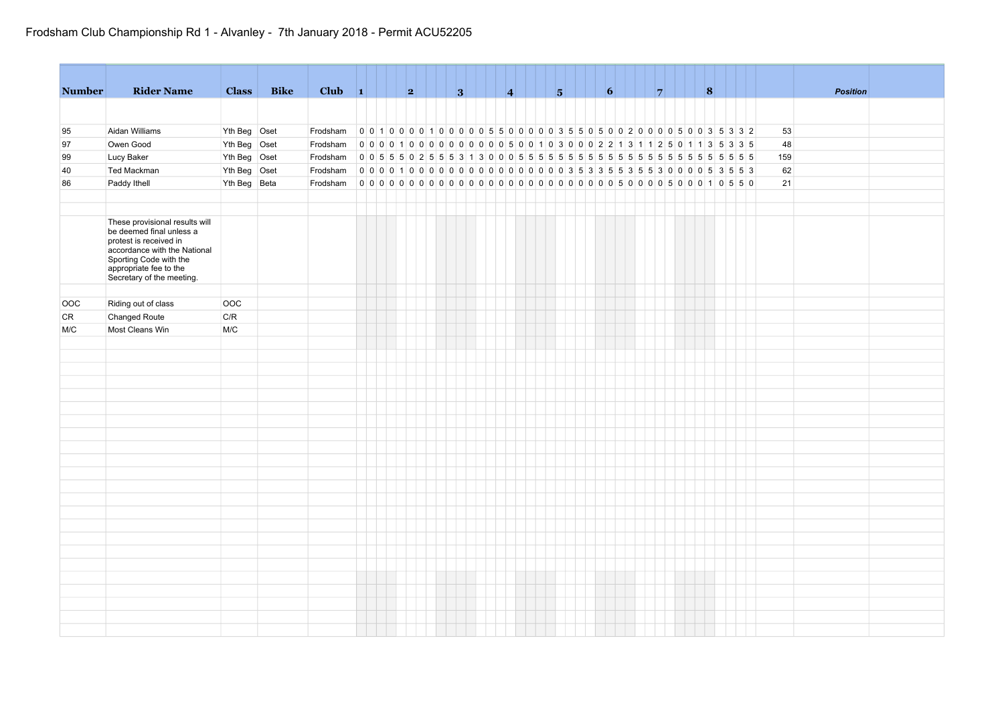| <b>Number</b> | <b>Rider Name</b>                                                                                                                              | <b>Class</b> | <b>Bike</b> | Club $\vert 1 \vert$ |  |                                                                                   | 2 |  | 3 |  | $\vert 4 \vert$ |  | 5 |  | $\vert 6 \vert$ |  | 7 |  | 8 |  |     |  | <b>Position</b> |  |  |  |
|---------------|------------------------------------------------------------------------------------------------------------------------------------------------|--------------|-------------|----------------------|--|-----------------------------------------------------------------------------------|---|--|---|--|-----------------|--|---|--|-----------------|--|---|--|---|--|-----|--|-----------------|--|--|--|
|               |                                                                                                                                                |              |             |                      |  |                                                                                   |   |  |   |  |                 |  |   |  |                 |  |   |  |   |  |     |  |                 |  |  |  |
|               |                                                                                                                                                |              |             |                      |  |                                                                                   |   |  |   |  |                 |  |   |  |                 |  |   |  |   |  |     |  |                 |  |  |  |
| 95            | Aidan Williams                                                                                                                                 | Yth Beg Oset |             | Frodsham             |  |                                                                                   |   |  |   |  |                 |  |   |  |                 |  |   |  |   |  | 53  |  |                 |  |  |  |
| 97            | Owen Good                                                                                                                                      | Yth Beg Oset |             | Frodsham             |  | 0 0 0 0 1 0 0 0 0 0 0 0 0 0 0 0 5 0 0 1 0 3 0 0 0 2 2 1 3 1 1 2 5 0 1 1 3 5 3 3 5 |   |  |   |  |                 |  |   |  |                 |  |   |  |   |  | 48  |  |                 |  |  |  |
| 99            | Lucy Baker                                                                                                                                     | Yth Beg Oset |             | Frodsham             |  |                                                                                   |   |  |   |  |                 |  |   |  |                 |  |   |  |   |  | 159 |  |                 |  |  |  |
| 40            | Ted Mackman                                                                                                                                    | Yth Beg Oset |             | Frodsham             |  | 0000100000000000000000035335533553000053553                                       |   |  |   |  |                 |  |   |  |                 |  |   |  |   |  | 62  |  |                 |  |  |  |
| 86            | Paddy Ithell                                                                                                                                   | Yth Beg Beta |             | Frodsham             |  |                                                                                   |   |  |   |  |                 |  |   |  |                 |  |   |  |   |  | 21  |  |                 |  |  |  |
|               |                                                                                                                                                |              |             |                      |  |                                                                                   |   |  |   |  |                 |  |   |  |                 |  |   |  |   |  |     |  |                 |  |  |  |
|               | These provisional results will<br>be deemed final unless a<br>protest is received in<br>accordance with the National<br>Sporting Code with the |              |             |                      |  |                                                                                   |   |  |   |  |                 |  |   |  |                 |  |   |  |   |  |     |  |                 |  |  |  |
|               | appropriate fee to the<br>Secretary of the meeting.                                                                                            |              |             |                      |  |                                                                                   |   |  |   |  |                 |  |   |  |                 |  |   |  |   |  |     |  |                 |  |  |  |
|               |                                                                                                                                                |              |             |                      |  |                                                                                   |   |  |   |  |                 |  |   |  |                 |  |   |  |   |  |     |  |                 |  |  |  |
| OOC           | Riding out of class                                                                                                                            | <b>OOC</b>   |             |                      |  |                                                                                   |   |  |   |  |                 |  |   |  |                 |  |   |  |   |  |     |  |                 |  |  |  |
| <b>CR</b>     | Changed Route                                                                                                                                  | C/R          |             |                      |  |                                                                                   |   |  |   |  |                 |  |   |  |                 |  |   |  |   |  |     |  |                 |  |  |  |
| M/C           | Most Cleans Win                                                                                                                                | M/C          |             |                      |  |                                                                                   |   |  |   |  |                 |  |   |  |                 |  |   |  |   |  |     |  |                 |  |  |  |
|               |                                                                                                                                                |              |             |                      |  |                                                                                   |   |  |   |  |                 |  |   |  |                 |  |   |  |   |  |     |  |                 |  |  |  |
|               |                                                                                                                                                |              |             |                      |  |                                                                                   |   |  |   |  |                 |  |   |  |                 |  |   |  |   |  |     |  |                 |  |  |  |
|               |                                                                                                                                                |              |             |                      |  |                                                                                   |   |  |   |  |                 |  |   |  |                 |  |   |  |   |  |     |  |                 |  |  |  |
|               |                                                                                                                                                |              |             |                      |  |                                                                                   |   |  |   |  |                 |  |   |  |                 |  |   |  |   |  |     |  |                 |  |  |  |
|               |                                                                                                                                                |              |             |                      |  |                                                                                   |   |  |   |  |                 |  |   |  |                 |  |   |  |   |  |     |  |                 |  |  |  |
|               |                                                                                                                                                |              |             |                      |  |                                                                                   |   |  |   |  |                 |  |   |  |                 |  |   |  |   |  |     |  |                 |  |  |  |
|               |                                                                                                                                                |              |             |                      |  |                                                                                   |   |  |   |  |                 |  |   |  |                 |  |   |  |   |  |     |  |                 |  |  |  |
|               |                                                                                                                                                |              |             |                      |  |                                                                                   |   |  |   |  |                 |  |   |  |                 |  |   |  |   |  |     |  |                 |  |  |  |
|               |                                                                                                                                                |              |             |                      |  |                                                                                   |   |  |   |  |                 |  |   |  |                 |  |   |  |   |  |     |  |                 |  |  |  |
|               |                                                                                                                                                |              |             |                      |  |                                                                                   |   |  |   |  |                 |  |   |  |                 |  |   |  |   |  |     |  |                 |  |  |  |
|               |                                                                                                                                                |              |             |                      |  |                                                                                   |   |  |   |  |                 |  |   |  |                 |  |   |  |   |  |     |  |                 |  |  |  |
|               |                                                                                                                                                |              |             |                      |  |                                                                                   |   |  |   |  |                 |  |   |  |                 |  |   |  |   |  |     |  |                 |  |  |  |
|               |                                                                                                                                                |              |             |                      |  |                                                                                   |   |  |   |  |                 |  |   |  |                 |  |   |  |   |  |     |  |                 |  |  |  |
|               |                                                                                                                                                |              |             |                      |  |                                                                                   |   |  |   |  |                 |  |   |  |                 |  |   |  |   |  |     |  |                 |  |  |  |
|               |                                                                                                                                                |              |             |                      |  |                                                                                   |   |  |   |  |                 |  |   |  |                 |  |   |  |   |  |     |  |                 |  |  |  |
|               |                                                                                                                                                |              |             |                      |  |                                                                                   |   |  |   |  |                 |  |   |  |                 |  |   |  |   |  |     |  |                 |  |  |  |
|               |                                                                                                                                                |              |             |                      |  |                                                                                   |   |  |   |  |                 |  |   |  |                 |  |   |  |   |  |     |  |                 |  |  |  |
|               |                                                                                                                                                |              |             |                      |  |                                                                                   |   |  |   |  |                 |  |   |  |                 |  |   |  |   |  |     |  |                 |  |  |  |
|               |                                                                                                                                                |              |             |                      |  |                                                                                   |   |  |   |  |                 |  |   |  |                 |  |   |  |   |  |     |  |                 |  |  |  |
|               |                                                                                                                                                |              |             |                      |  |                                                                                   |   |  |   |  |                 |  |   |  |                 |  |   |  |   |  |     |  |                 |  |  |  |
|               |                                                                                                                                                |              |             |                      |  |                                                                                   |   |  |   |  |                 |  |   |  |                 |  |   |  |   |  |     |  |                 |  |  |  |
|               |                                                                                                                                                |              |             |                      |  |                                                                                   |   |  |   |  |                 |  |   |  |                 |  |   |  |   |  |     |  |                 |  |  |  |
|               |                                                                                                                                                |              |             |                      |  |                                                                                   |   |  |   |  |                 |  |   |  |                 |  |   |  |   |  |     |  |                 |  |  |  |